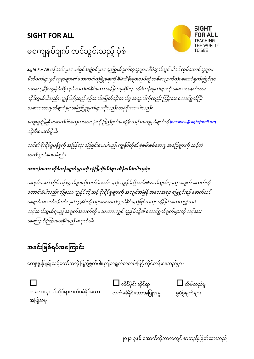## **SIGHT FOR ALL**



## မကျေနပ်ချက် တင်သွင်းသည့် ပုံစံ

Sight For All *ဝန်ထမ်းများ၊ ဗစ်ရှင်အဖွဲ့ဝင်များ၊ ရည်ရွယ်ချက်တူသူများ၊ စီမံချက်တွင် ပါဝင် လုပ်ဆောင်သူများ၊* မိတ်ဖက်များနှင့် လူနာများ၏ ဘေးကင်းလုံခြုံရေးကို စီမံကိန်းများလုပ်စဉ်တစ်လျှောက်လုံး ဆောင်ရွက်ရခြင်းမှာ ပဓာနကျပြီး ကျွန်ုပ်တို့သည် လက်မခံနိုင်သော အပြုအမူဆိုင်ရာ တိုင်တန်းချက်များကို အလေးအနက်ထား ကိုင်တွယ်ပါသည်။ ကျွန်ုပ်တို့သည် စဉ်ဆက်မပြတ်တိုးတက်မှု အတွက်ကိုလည်း ကြိုးစား ဆောင်ရွက်ပြီး သဘောထားမှတ်ချက်နှင့် အကြံပြုချက်များကိုလည်း တန်ဖိုးထားပါသည်။

ကျေးဇူးပြု၍ အောက်ပါအကွက်အားလုံးကို ဖြည့်စွက်ပေးပြီး သင့် မကျေနပ်ချက်ကို <u>ihatswell@sightforall.org</u> သို့အီးမေးလ်ပို့ပါ။

သင်၏ စိုးရိမ်ပူပန်မှုကို အမြန်ဆုံး ဖြေရှင်းပေးပါမည်၊ ကျွန်ုပ်တို့၏ စုံစမ်းစစ်ဆေးမှု အဖြေများကို သင့်ထံ က်သွယ်ကပ်းပါမည်။

## အားလုံးသော တိုင်တန်းချက်များကို လုံခြုံသိုသိပ်စွာ ထိန်းသိမ်းပါသည်။

အမည်မဖော် တိုင်တန်းချက်များကိုလက်ခံသော်လည်း ကျွန်ုပ်တို့ သင်၏ဆက်သွယ်ရမည့် အချက်အလက်ကို တောင်းခံပါသည်။ သို့မှသာ ကျွန်ုပ်တို့ သင့် စိုးရိမ်မှုများကို အလျင်အမြန် အသေအချာ ဖြေရှင်းရန် နောက်ထပ် အချက်အလက်လိုအပ်လျှင် ကျွန်ုပ်တို့သင့်အား ဆက်သွယ်နိုင်မည်ဖြစ်သည်။ ထို့ပြင် အကယ်၍ သင် သင့်ဆက်သွယ်ရမည့် အချက်အလက်ကို မပေးထားလျှင် ကျွန်ုပ်တို့၏ ဆောင်ရွက်ချက်များကို သင့်အား အကြောင်းကြားပေးနိုင်မည် မဟုတ်ပါ။

## **အခင်ားခြစ်ရပ်အသ ကောင်ား**

ကျေးဇူးပြု၍ သင့်တော်သလို ဖြည့်စွက်ပါ။ ဤစာရွက်စာတမ်းဖြင့် တိုင်တန်းနေသည်မှာ -



ကလေးသူငယ်ဆိုင်ရာလက်မခံနိုင်သော အခပြုံအမူ

 $\Box$  လိင်ပိုင်း ဆိုင်ရာ လက်မခံနိုံင်ကသ အခပြုံအမူ



၂၀၂၁ ခုနှစ် အောက်တိုဘာလတွင် စာတည်းဖြတ်ထားသည်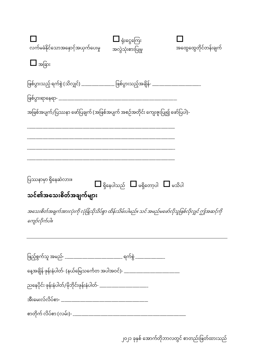| လက်မခံနိုင်သောအနှောင့်အယှက်ပေးမှု                                                                                    | $\blacksquare$ ရုံးငွေကြေး<br>အလွဲသုံးစားပြုမှု           | အထွေထွေတိုင်တန်းချက် |
|----------------------------------------------------------------------------------------------------------------------|-----------------------------------------------------------|----------------------|
| $\Box$ အခြား                                                                                                         |                                                           |                      |
| ဖြစ်ပွားသည့် ရက်စွဲ (သိလျှင်) _______________ ဖြစ်ပွားသည့်အချိန်- ____________________                               |                                                           |                      |
|                                                                                                                      |                                                           |                      |
| အဖြစ်အပျက်/ပြဿနာ ဖော်ပြချက် (အဖြစ်အပျက် အစဉ်အတိုင်း ကျေးဇူးပြု၍ ဖော်ပြပါ)-                                           |                                                           |                      |
|                                                                                                                      |                                                           |                      |
| ပြဿနာမှာ ရှိနေဆဲလား။<br>သင်၏အသေးစိတ်အချက်များ                                                                        | $\square$ ရှိနေပါသည် $\square$ မရှိတော့ပါ $\square$ မသိပါ |                      |
| အသေးစိတ်အချက်အားလုံးကို လုံခြုံသိုသိပ်စွာ ထိန်းသိမ်းပါမည်။ သင် အမည်မဖော်လိုသူဖြစ်လိုလျှင် ဤအဆင့်ကို<br>ကျော်လိုက်ပါ။ |                                                           |                      |
| ဖြည့်စွက်သူ အမည်- __________________________ ရက်စွဲ _______________                                                  |                                                           |                      |
| နေ့အချိန် ဖုန်းနံပါတ်- (နယ်မြေသင်္ကေတ အပါအဝင်)- ________________________________                                     |                                                           |                      |
| ညနေပိုင်း ဖုန်းနံပါတ်/မိုဘိုင်းဖုန်းနံပါတ်- _________________________                                                |                                                           |                      |
|                                                                                                                      |                                                           |                      |
|                                                                                                                      |                                                           |                      |

၂၀၂၁ ခုနှစ် အောက်တိုဘာလတွင် စာတည်းဖြတ်ထားသည်